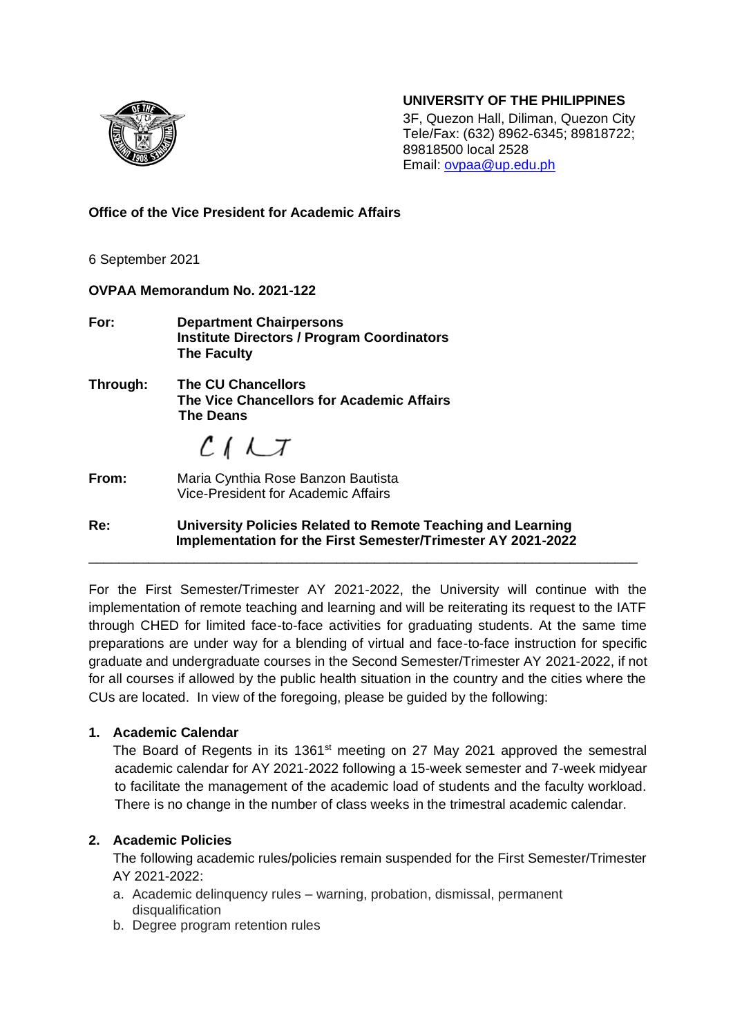#### **UNIVERSITY OF THE PHILIPPINES**



3F, Quezon Hall, Diliman, Quezon City Tele/Fax: (632) 8962-6345; 89818722; 89818500 local 2528 Email: [ovpaa@up.edu.ph](mailto:ovpaa@up.edu.ph)

**Office of the Vice President for Academic Affairs**

6 September 2021

**OVPAA Memorandum No. 2021-122 For: Department Chairpersons Institute Directors / Program Coordinators The Faculty Through: The CU Chancellors The Vice Chancellors for Academic Affairs The Deans**  $C<sub>1</sub>LT$ **From:** Maria Cynthia Rose Banzon Bautista Vice-President for Academic Affairs

**Re: University Policies Related to Remote Teaching and Learning Implementation for the First Semester/Trimester AY 2021-2022** \_\_\_\_\_\_\_\_\_\_\_\_\_\_\_\_\_\_\_\_\_\_\_\_\_\_\_\_\_\_\_\_\_\_\_\_\_\_\_\_\_\_\_\_\_\_\_\_\_\_\_\_\_\_\_\_\_\_\_\_\_\_\_\_\_\_\_\_\_\_\_\_\_

For the First Semester/Trimester AY 2021-2022, the University will continue with the implementation of remote teaching and learning and will be reiterating its request to the IATF through CHED for limited face-to-face activities for graduating students. At the same time preparations are under way for a blending of virtual and face-to-face instruction for specific graduate and undergraduate courses in the Second Semester/Trimester AY 2021-2022, if not for all courses if allowed by the public health situation in the country and the cities where the CUs are located. In view of the foregoing, please be guided by the following:

# **1. Academic Calendar**

The Board of Regents in its 1361<sup>st</sup> meeting on 27 May 2021 approved the semestral academic calendar for AY 2021-2022 following a 15-week semester and 7-week midyear to facilitate the management of the academic load of students and the faculty workload. There is no change in the number of class weeks in the trimestral academic calendar.

# **2. Academic Policies**

The following academic rules/policies remain suspended for the First Semester/Trimester AY 2021-2022:

- a. Academic delinquency rules warning, probation, dismissal, permanent disqualification
- b. Degree program retention rules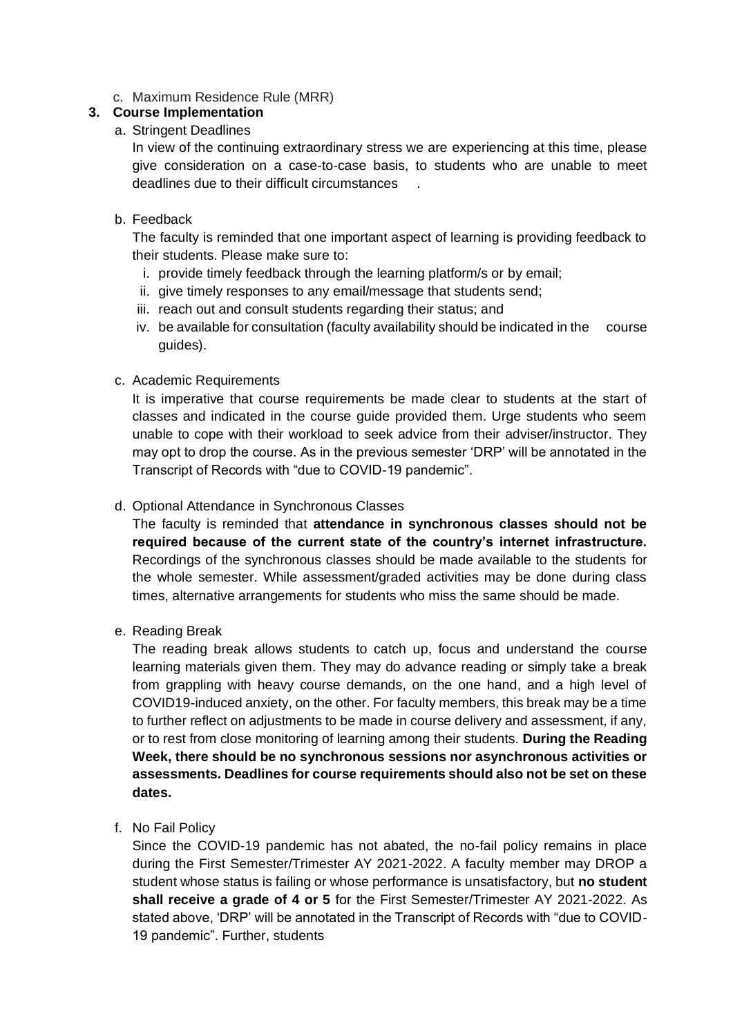c. Maximum Residence Rule (MRR)

## **3. Course Implementation**

### a. Stringent Deadlines

In view of the continuing extraordinary stress we are experiencing at this time, please give consideration on a case-to-case basis, to students who are unable to meet deadlines due to their difficult circumstances .

### b. Feedback

The faculty is reminded that one important aspect of learning is providing feedback to their students. Please make sure to:

- i. provide timely feedback through the learning platform/s or by email;
- ii. give timely responses to any email/message that students send;
- iii. reach out and consult students regarding their status; and
- iv. be available for consultation (faculty availability should be indicated in the course guides).

### c. Academic Requirements

It is imperative that course requirements be made clear to students at the start of classes and indicated in the course guide provided them. Urge students who seem unable to cope with their workload to seek advice from their adviser/instructor. They may opt to drop the course. As in the previous semester 'DRP' will be annotated in the Transcript of Records with "due to COVID-19 pandemic".

### d. Optional Attendance in Synchronous Classes

The faculty is reminded that **attendance in synchronous classes should not be required because of the current state of the country's internet infrastructure.** Recordings of the synchronous classes should be made available to the students for the whole semester. While assessment/graded activities may be done during class times, alternative arrangements for students who miss the same should be made.

e. Reading Break

The reading break allows students to catch up, focus and understand the course learning materials given them. They may do advance reading or simply take a break from grappling with heavy course demands, on the one hand, and a high level of COVID19-induced anxiety, on the other. For faculty members, this break may be a time to further reflect on adjustments to be made in course delivery and assessment, if any, or to rest from close monitoring of learning among their students. **During the Reading Week, there should be no synchronous sessions nor asynchronous activities or assessments. Deadlines for course requirements should also not be set on these dates.**

f. No Fail Policy

Since the COVID-19 pandemic has not abated, the no-fail policy remains in place during the First Semester/Trimester AY 2021-2022. A faculty member may DROP a student whose status is failing or whose performance is unsatisfactory, but **no student shall receive a grade of 4 or 5** for the First Semester/Trimester AY 2021-2022. As stated above, 'DRP' will be annotated in the Transcript of Records with "due to COVID-19 pandemic". Further, students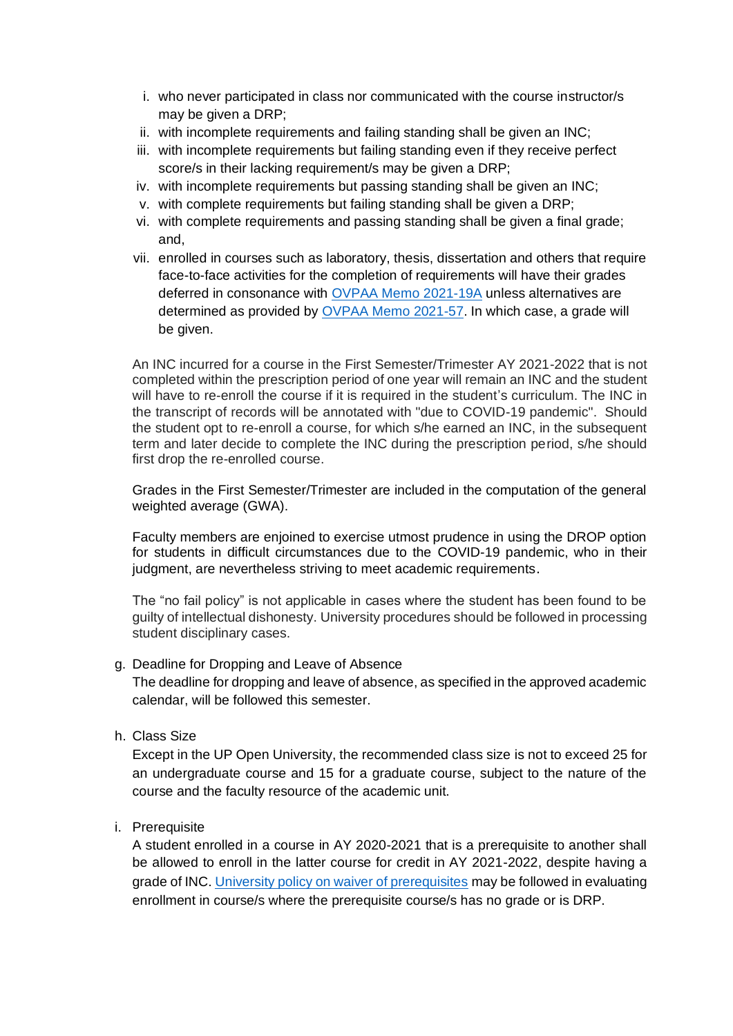- i. who never participated in class nor communicated with the course instructor/s may be given a DRP;
- ii. with incomplete requirements and failing standing shall be given an INC;
- iii. with incomplete requirements but failing standing even if they receive perfect score/s in their lacking requirement/s may be given a DRP;
- iv. with incomplete requirements but passing standing shall be given an INC;
- v. with complete requirements but failing standing shall be given a DRP;
- vi. with complete requirements and passing standing shall be given a final grade; and,
- vii. enrolled in courses such as laboratory, thesis, dissertation and others that require face-to-face activities for the completion of requirements will have their grades deferred in consonance with [OVPAA Memo 2021-19A](https://drive.google.com/file/d/1DtIG1uBqzaoHT4AL0M9OcJRY1sfqxWjG/view) unless alternatives are determined as provided by [OVPAA Memo 2021-57.](https://drive.google.com/file/d/1jz3UXtwV5GSHrDf2WvhN4xUVgOmB530N/view) In which case, a grade will be given.

An INC incurred for a course in the First Semester/Trimester AY 2021-2022 that is not completed within the prescription period of one year will remain an INC and the student will have to re-enroll the course if it is required in the student's curriculum. The INC in the transcript of records will be annotated with "due to COVID-19 pandemic". Should the student opt to re-enroll a course, for which s/he earned an INC, in the subsequent term and later decide to complete the INC during the prescription period, s/he should first drop the re-enrolled course.

Grades in the First Semester/Trimester are included in the computation of the general weighted average (GWA).

Faculty members are enjoined to exercise utmost prudence in using the DROP option for students in difficult circumstances due to the COVID-19 pandemic, who in their judgment, are nevertheless striving to meet academic requirements.

The "no fail policy" is not applicable in cases where the student has been found to be guilty of intellectual dishonesty. University procedures should be followed in processing student disciplinary cases.

#### g. Deadline for Dropping and Leave of Absence

The deadline for dropping and leave of absence, as specified in the approved academic calendar, will be followed this semester.

h. Class Size

Except in the UP Open University, the recommended class size is not to exceed 25 for an undergraduate course and 15 for a graduate course, subject to the nature of the course and the faculty resource of the academic unit.

i. Prerequisite

A student enrolled in a course in AY 2020-2021 that is a prerequisite to another shall be allowed to enroll in the latter course for credit in AY 2021-2022, despite having a grade of INC[. University policy on waiver of prerequisites](https://our.upd.edu.ph/files/acadinfo/PREREQUISITES%20TO%20COURSES.pdf) may be followed in evaluating enrollment in course/s where the prerequisite course/s has no grade or is DRP.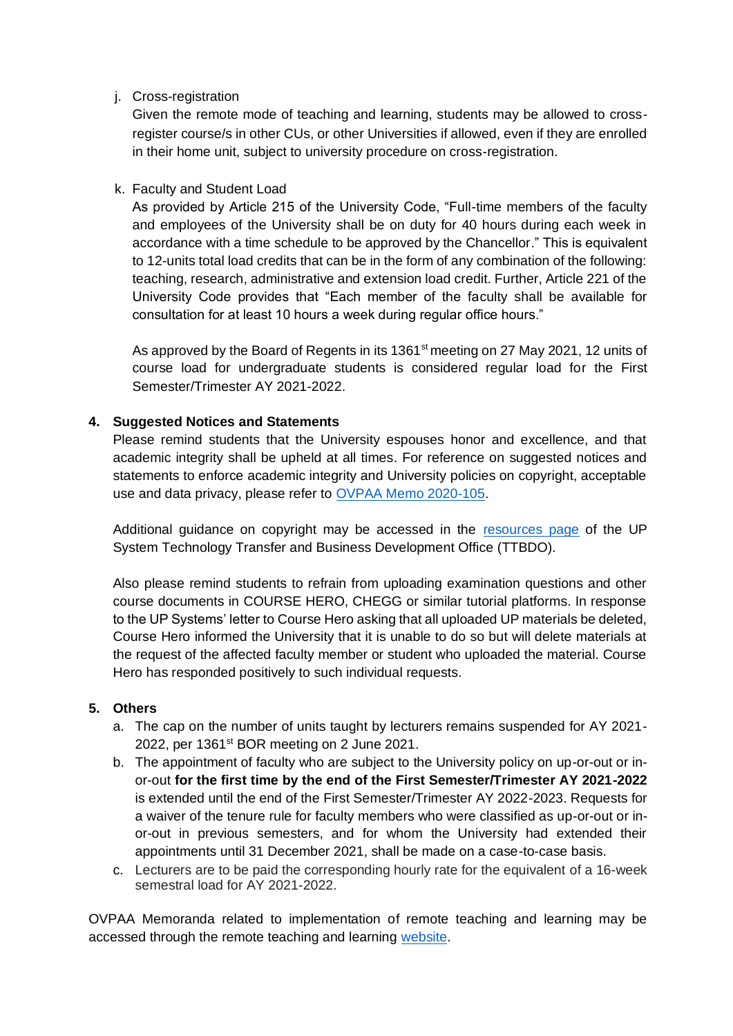#### j. Cross-registration

Given the remote mode of teaching and learning, students may be allowed to crossregister course/s in other CUs, or other Universities if allowed, even if they are enrolled in their home unit, subject to university procedure on cross-registration.

## k. Faculty and Student Load

As provided by Article 215 of the University Code, "Full-time members of the faculty and employees of the University shall be on duty for 40 hours during each week in accordance with a time schedule to be approved by the Chancellor." This is equivalent to 12-units total load credits that can be in the form of any combination of the following: teaching, research, administrative and extension load credit. Further, Article 221 of the University Code provides that "Each member of the faculty shall be available for consultation for at least 10 hours a week during regular office hours."

As approved by the Board of Regents in its 1361<sup>st</sup> meeting on 27 May 2021, 12 units of course load for undergraduate students is considered regular load for the First Semester/Trimester AY 2021-2022.

### **4. Suggested Notices and Statements**

Please remind students that the University espouses honor and excellence, and that academic integrity shall be upheld at all times. For reference on suggested notices and statements to enforce academic integrity and University policies on copyright, acceptable use and data privacy, please refer to [OVPAA Memo 2020-105.](https://drive.google.com/file/d/1oVq5Wy2Td1Ewx_ccYlLiBHboYbiUHlAv/view)

Additional guidance on copyright may be accessed in the [resources page](https://ttbdo.up.edu.ph/policies/copyright-guidelines/) of the UP System Technology Transfer and Business Development Office (TTBDO).

Also please remind students to refrain from uploading examination questions and other course documents in COURSE HERO, CHEGG or similar tutorial platforms. In response to the UP Systems' letter to Course Hero asking that all uploaded UP materials be deleted, Course Hero informed the University that it is unable to do so but will delete materials at the request of the affected faculty member or student who uploaded the material. Course Hero has responded positively to such individual requests.

#### **5. Others**

- a. The cap on the number of units taught by lecturers remains suspended for AY 2021- 2022, per 1361<sup>st</sup> BOR meeting on 2 June 2021.
- b. The appointment of faculty who are subject to the University policy on up-or-out or inor-out **for the first time by the end of the First Semester/Trimester AY 2021-2022** is extended until the end of the First Semester/Trimester AY 2022-2023. Requests for a waiver of the tenure rule for faculty members who were classified as up-or-out or inor-out in previous semesters, and for whom the University had extended their appointments until 31 December 2021, shall be made on a case-to-case basis.
- c. Lecturers are to be paid the corresponding hourly rate for the equivalent of a 16-week semestral load for AY 2021-2022.

OVPAA Memoranda related to implementation of remote teaching and learning may be accessed through the remote teaching and learning [website.](https://sites.google.com/up.edu.ph/gear-up-for-remote-learning/others/memoranda)